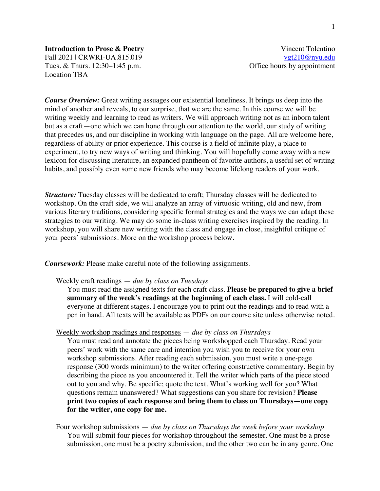# **Introduction to Prose & Poetry** Vincent Tolentino Fall 2021 | CRWRI-UA.815.019 vgt210@nyu.edu Tues. & Thurs. 12:30–1:45 p.m. Coffice hours by appointment Location TBA

*Course Overview:* Great writing assuages our existential loneliness. It brings us deep into the mind of another and reveals, to our surprise, that we are the same. In this course we will be writing weekly and learning to read as writers. We will approach writing not as an inborn talent but as a craft—one which we can hone through our attention to the world, our study of writing that precedes us, and our discipline in working with language on the page. All are welcome here, regardless of ability or prior experience. This course is a field of infinite play, a place to experiment, to try new ways of writing and thinking. You will hopefully come away with a new lexicon for discussing literature, an expanded pantheon of favorite authors, a useful set of writing habits, and possibly even some new friends who may become lifelong readers of your work.

*Structure:* Tuesday classes will be dedicated to craft; Thursday classes will be dedicated to workshop. On the craft side, we will analyze an array of virtuosic writing, old and new, from various literary traditions, considering specific formal strategies and the ways we can adapt these strategies to our writing. We may do some in-class writing exercises inspired by the reading. In workshop, you will share new writing with the class and engage in close, insightful critique of your peers' submissions. More on the workshop process below.

*Coursework:* Please make careful note of the following assignments.

## Weekly craft readings — *due by class on Tuesdays*

You must read the assigned texts for each craft class. **Please be prepared to give a brief summary of the week's readings at the beginning of each class.** I will cold-call everyone at different stages. I encourage you to print out the readings and to read with a pen in hand. All texts will be available as PDFs on our course site unless otherwise noted.

## Weekly workshop readings and responses — *due by class on Thursdays*

You must read and annotate the pieces being workshopped each Thursday. Read your peers' work with the same care and intention you wish you to receive for your own workshop submissions. After reading each submission, you must write a one-page response (300 words minimum) to the writer offering constructive commentary. Begin by describing the piece as you encountered it. Tell the writer which parts of the piece stood out to you and why. Be specific; quote the text. What's working well for you? What questions remain unanswered? What suggestions can you share for revision? **Please print two copies of each response and bring them to class on Thursdays—one copy for the writer, one copy for me.**

Four workshop submissions — *due by class on Thursdays the week before your workshop* You will submit four pieces for workshop throughout the semester. One must be a prose submission, one must be a poetry submission, and the other two can be in any genre. One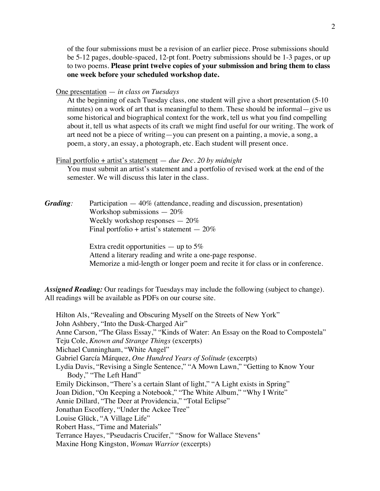of the four submissions must be a revision of an earlier piece. Prose submissions should be 5-12 pages, double-spaced, 12-pt font. Poetry submissions should be 1-3 pages, or up to two poems. **Please print twelve copies of your submission and bring them to class one week before your scheduled workshop date.**

# One presentation — *in class on Tuesdays*

At the beginning of each Tuesday class, one student will give a short presentation (5-10 minutes) on a work of art that is meaningful to them. These should be informal—give us some historical and biographical context for the work, tell us what you find compelling about it, tell us what aspects of its craft we might find useful for our writing. The work of art need not be a piece of writing—you can present on a painting, a movie, a song, a poem, a story, an essay, a photograph, etc. Each student will present once.

#### Final portfolio + artist's statement — *due Dec. 20 by midnight*

You must submit an artist's statement and a portfolio of revised work at the end of the semester. We will discuss this later in the class.

*Grading:* Participation — 40% (attendance, reading and discussion, presentation) Workshop submissions  $-20\%$ Weekly workshop responses — 20% Final portfolio + artist's statement  $-20\%$ 

> Extra credit opportunities  $-$  up to 5% Attend a literary reading and write a one-page response. Memorize a mid-length or longer poem and recite it for class or in conference.

*Assigned Reading:* Our readings for Tuesdays may include the following (subject to change). All readings will be available as PDFs on our course site.

Hilton Als, "Revealing and Obscuring Myself on the Streets of New York" John Ashbery, "Into the Dusk-Charged Air" Anne Carson, "The Glass Essay," "Kinds of Water: An Essay on the Road to Compostela" Teju Cole, *Known and Strange Things* (excerpts) Michael Cunningham, "White Angel" Gabriel García Márquez, *One Hundred Years of Solitude* (excerpts) Lydia Davis, "Revising a Single Sentence," "A Mown Lawn," "Getting to Know Your Body," "The Left Hand" Emily Dickinson, "There's a certain Slant of light," "A Light exists in Spring" Joan Didion, "On Keeping a Notebook," "The White Album," "Why I Write" Annie Dillard, "The Deer at Providencia," "Total Eclipse" Jonathan Escoffery, "Under the Ackee Tree" Louise Glück, "A Village Life" Robert Hass, "Time and Materials" Terrance Hayes, "Pseudacris Crucifer," "Snow for Wallace Stevens" Maxine Hong Kingston, *Woman Warrior* (excerpts)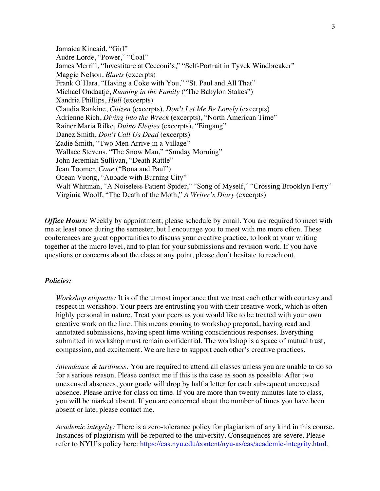Jamaica Kincaid, "Girl" Audre Lorde, "Power," "Coal" James Merrill, "Investiture at Cecconi's," "Self-Portrait in Tyvek Windbreaker" Maggie Nelson, *Bluets* (excerpts) Frank O'Hara, "Having a Coke with You," "St. Paul and All That" Michael Ondaatje, *Running in the Family* ("The Babylon Stakes") Xandria Phillips, *Hull* (excerpts) Claudia Rankine, *Citizen* (excerpts), *Don't Let Me Be Lonely* (excerpts) Adrienne Rich, *Diving into the Wreck* (excerpts), "North American Time" Rainer Maria Rilke, *Duino Elegies* (excerpts), "Eingang" Danez Smith, *Don't Call Us Dead* (excerpts) Zadie Smith, "Two Men Arrive in a Village" Wallace Stevens, "The Snow Man," "Sunday Morning" John Jeremiah Sullivan, "Death Rattle" Jean Toomer, *Cane* ("Bona and Paul") Ocean Vuong, "Aubade with Burning City" Walt Whitman, "A Noiseless Patient Spider," "Song of Myself," "Crossing Brooklyn Ferry" Virginia Woolf, "The Death of the Moth," *A Writer's Diary* (excerpts)

*Office Hours:* Weekly by appointment; please schedule by email. You are required to meet with me at least once during the semester, but I encourage you to meet with me more often. These conferences are great opportunities to discuss your creative practice, to look at your writing together at the micro level, and to plan for your submissions and revision work. If you have questions or concerns about the class at any point, please don't hesitate to reach out.

## *Policies:*

*Workshop etiquette:* It is of the utmost importance that we treat each other with courtesy and respect in workshop. Your peers are entrusting you with their creative work, which is often highly personal in nature. Treat your peers as you would like to be treated with your own creative work on the line. This means coming to workshop prepared, having read and annotated submissions, having spent time writing conscientious responses. Everything submitted in workshop must remain confidential. The workshop is a space of mutual trust, compassion, and excitement. We are here to support each other's creative practices.

*Attendance & tardiness:* You are required to attend all classes unless you are unable to do so for a serious reason. Please contact me if this is the case as soon as possible. After two unexcused absences, your grade will drop by half a letter for each subsequent unexcused absence. Please arrive for class on time. If you are more than twenty minutes late to class, you will be marked absent. If you are concerned about the number of times you have been absent or late, please contact me.

*Academic integrity:* There is a zero-tolerance policy for plagiarism of any kind in this course. Instances of plagiarism will be reported to the university. Consequences are severe. Please refer to NYU's policy here: https://cas.nyu.edu/content/nyu-as/cas/academic-integrity.html.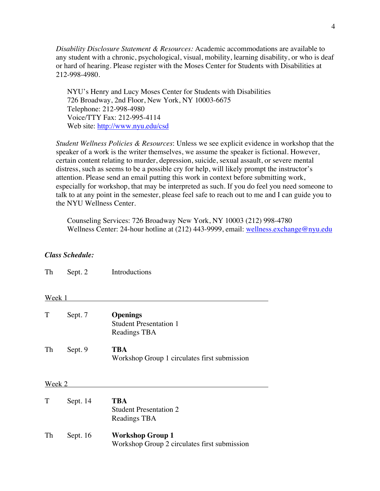*Disability Disclosure Statement & Resources:* Academic accommodations are available to any student with a chronic, psychological, visual, mobility, learning disability, or who is deaf or hard of hearing. Please register with the Moses Center for Students with Disabilities at 212-998-4980.

NYU's Henry and Lucy Moses Center for Students with Disabilities 726 Broadway, 2nd Floor, New York, NY 10003-6675 Telephone: 212-998-4980 Voice/TTY Fax: 212-995-4114 Web site: http://www.nyu.edu/csd

*Student Wellness Policies & Resources*: Unless we see explicit evidence in workshop that the speaker of a work is the writer themselves, we assume the speaker is fictional. However, certain content relating to murder, depression, suicide, sexual assault, or severe mental distress, such as seems to be a possible cry for help, will likely prompt the instructor's attention. Please send an email putting this work in context before submitting work, especially for workshop, that may be interpreted as such. If you do feel you need someone to talk to at any point in the semester, please feel safe to reach out to me and I can guide you to the NYU Wellness Center.

Counseling Services: 726 Broadway New York, NY 10003 (212) 998-4780 Wellness Center: 24-hour hotline at (212) 443-9999, email: wellness.exchange@nyu.edu

# *Class Schedule:*

Th Sept. 2 Introductions

### Week 1

|    | Sept. 7 | <b>Openings</b><br><b>Student Presentation 1</b><br>Readings TBA |
|----|---------|------------------------------------------------------------------|
| Th | Sept. 9 | TBA<br>Workshop Group 1 circulates first submission              |

# Week 2

| T  | Sept. 14   | TBA<br><b>Student Presentation 2</b><br>Readings TBA                    |
|----|------------|-------------------------------------------------------------------------|
| Th | Sept. $16$ | <b>Workshop Group 1</b><br>Workshop Group 2 circulates first submission |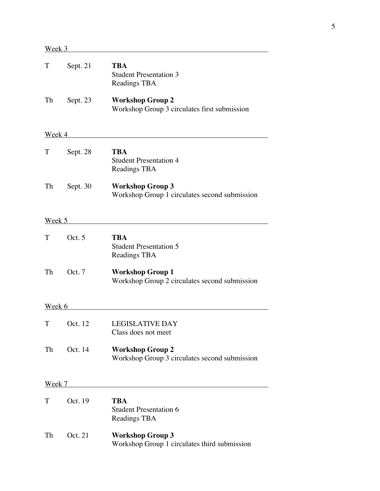| T             | Sept. 21 | <b>TBA</b><br><b>Student Presentation 3</b><br>Readings TBA              |
|---------------|----------|--------------------------------------------------------------------------|
| Th            | Sept. 23 | <b>Workshop Group 2</b><br>Workshop Group 3 circulates first submission  |
| <u>Week 4</u> |          |                                                                          |
| T             | Sept. 28 | <b>TBA</b><br><b>Student Presentation 4</b><br>Readings TBA              |
| Th            | Sept. 30 | <b>Workshop Group 3</b><br>Workshop Group 1 circulates second submission |
| Week 5        |          |                                                                          |
| T             | Oct. 5   | <b>TBA</b><br><b>Student Presentation 5</b><br>Readings TBA              |
| Th            | Oct. 7   | <b>Workshop Group 1</b><br>Workshop Group 2 circulates second submission |
| Week 6        |          |                                                                          |
| T             | Oct. 12  | <b>LEGISLATIVE DAY</b><br>Class does not meet                            |
| Th            | Oct. 14  | <b>Workshop Group 2</b><br>Workshop Group 3 circulates second submission |
| Week 7        |          |                                                                          |
| T             | Oct. 19  | <b>TBA</b><br><b>Student Presentation 6</b><br>Readings TBA              |
| Th            | Oct. 21  | <b>Workshop Group 3</b><br>Workshop Group 1 circulates third submission  |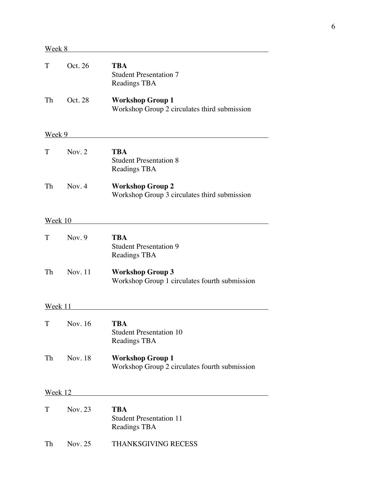| T       | Oct. 26  | <b>TBA</b><br><b>Student Presentation 7</b><br>Readings TBA              |
|---------|----------|--------------------------------------------------------------------------|
| Th      | Oct. 28  | <b>Workshop Group 1</b><br>Workshop Group 2 circulates third submission  |
| Week 9  |          |                                                                          |
| T       | Nov. 2   | <b>TBA</b><br><b>Student Presentation 8</b><br>Readings TBA              |
| Th      | Nov. 4   | <b>Workshop Group 2</b><br>Workshop Group 3 circulates third submission  |
| Week 10 |          |                                                                          |
| T       | Nov. $9$ | <b>TBA</b><br><b>Student Presentation 9</b><br>Readings TBA              |
| Th      | Nov. 11  | <b>Workshop Group 3</b><br>Workshop Group 1 circulates fourth submission |
| Week 11 |          |                                                                          |
| Т       | Nov. 16  | TBA<br><b>Student Presentation 10</b><br><b>Readings TBA</b>             |
| Th      | Nov. 18  | <b>Workshop Group 1</b><br>Workshop Group 2 circulates fourth submission |
| Week 12 |          |                                                                          |
| T       | Nov. 23  | <b>TBA</b><br><b>Student Presentation 11</b><br>Readings TBA             |
| Th      | Nov. 25  | <b>THANKSGIVING RECESS</b>                                               |